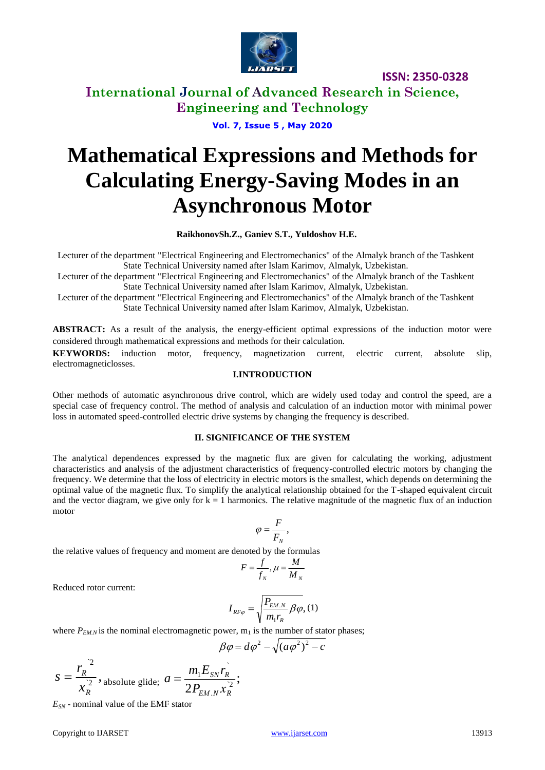

**International Journal of Advanced Research in Science, Engineering and Technology**

**Vol. 7, Issue 5 , May 2020**

# **Mathematical Expressions and Methods for Calculating Energy-Saving Modes in an Asynchronous Motor**

 **RaikhonovSh.Z., Ganiev S.T., Yuldoshov H.E.**

Lecturer of the department "Electrical Engineering and Electromechanics" of the Almalyk branch of the Tashkent State Technical University named after Islam Karimov, Almalyk, Uzbekistan.

Lecturer of the department "Electrical Engineering and Electromechanics" of the Almalyk branch of the Tashkent State Technical University named after Islam Karimov, Almalyk, Uzbekistan.

Lecturer of the department "Electrical Engineering and Electromechanics" of the Almalyk branch of the Tashkent State Technical University named after Islam Karimov, Almalyk, Uzbekistan.

**ABSTRACT:** As a result of the analysis, the energy-efficient optimal expressions of the induction motor were considered through mathematical expressions and methods for their calculation.

**KEYWORDS:** induction motor, frequency, magnetization current, electric current, absolute slip, electromagneticlosses.

### **I.INTRODUCTION**

Other methods of automatic asynchronous drive control, which are widely used today and control the speed, are a special case of frequency control. The method of analysis and calculation of an induction motor with minimal power loss in automated speed-controlled electric drive systems by changing the frequency is described.

### **II. SIGNIFICANCE OF THE SYSTEM**

The analytical dependences expressed by the magnetic flux are given for calculating the working, adjustment characteristics and analysis of the adjustment characteristics of frequency-controlled electric motors by changing the frequency. We determine that the loss of electricity in electric motors is the smallest, which depends on determining the optimal value of the magnetic flux. To simplify the analytical relationship obtained for the T-shaped equivalent circuit and the vector diagram, we give only for  $k = 1$  harmonics. The relative magnitude of the magnetic flux of an induction motor

$$
\varphi=\frac{F}{F_{_N}},
$$

the relative values of frequency and moment are denoted by the formulas

$$
F = \frac{f}{f_N}, \mu = \frac{M}{M_N}
$$

Reduced rotor current:

$$
I_{RF\varphi} = \sqrt{\frac{P_{EM.N}}{m_1 r_R} \beta \varphi}, (1)
$$

where  $P_{EM,N}$  is the nominal electromagnetic power,  $m_1$  is the number of stator phases;

$$
\beta \varphi = d\varphi^2 - \sqrt{(a\varphi^2)^2 - c}
$$

$$
s = \frac{r_R^2}{x_R^2}
$$
, absolute glide;  $a = \frac{m_1 E_{SN} r_R^2}{2 P_{EM,N} x_R^2}$ ;

*ESN* - nominal value of the EMF stator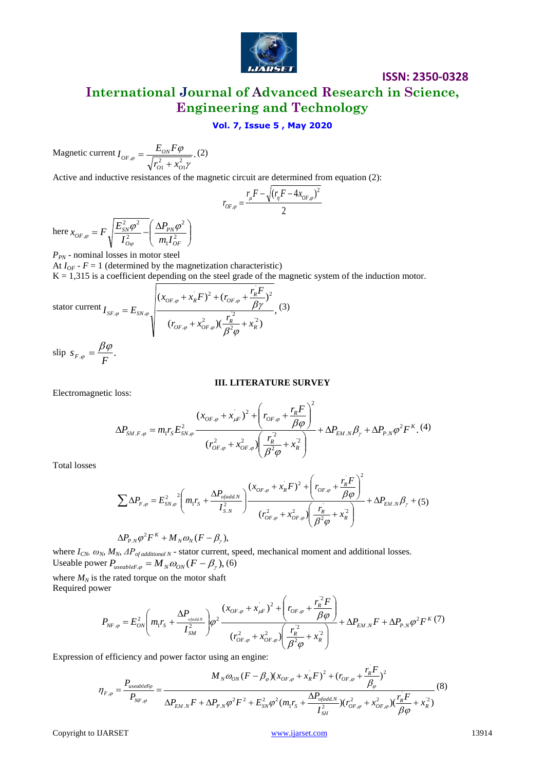

**International Journal of Advanced Research in Science, Engineering and Technology**

### **Vol. 7, Issue 5 , May 2020**

Magnetic current 
$$
I_{OF,\varphi} = \frac{E_{ON} F \varphi}{\sqrt{r_{O1}^2 + x_{O1}^2 \gamma}}
$$
. (2)

Active and inductive resistances of the magnetic circuit are determined from equation (2):

$$
r_{OF,\varphi} = \frac{r_{\mu}F - \sqrt{(r_{\eta}F - 4x_{OF,\varphi})^2}}{2}
$$

here  $x_{OF,\varphi} = F \sqrt{\frac{E_{SN}\varphi}{I^2} - \left(\frac{\Delta T_{PN}\varphi}{m I^2}\right)^2}$ J  $\backslash$  $\overline{\phantom{a}}$  $\setminus$  $F = F \sqrt{\frac{E_{SN}^2 \varphi^2}{I_{O\varphi}^2}} - \left(\frac{\Delta P_{PN} \varphi}{m_1 I_O^2}\right)$ 2 2 2  $\sim$ <sup>2</sup> , *OF PN O*  $S_{OF,\varphi} = F \sqrt{\frac{L_{SN}\varphi}{I_{O\varphi}^2}} - \left(\frac{\Delta T_{P\varphi}}{m_1 I}\right)$ *P I*  $x_{OF, \varphi} = F$ <sup> $\left| \frac{E_{SN}^2 \varphi^2}{2} - \frac{\Delta P_{PN} \varphi}{2} \right|$ </sup> 'φ ,ç

*P*<sub>*PN*</sub> - nominal losses in motor steel At  $I_{OF}$  -  $F = 1$  (determined by the magnetization characteristic)  $K = 1,315$  is a coefficient depending on the steel grade of the magnetic system of the induction motor.

$$
\text{stator current } I_{SF,\varphi} = E_{SN,\varphi} \sqrt{\frac{(x_{OF,\varphi} + x_R^2 F)^2 + (r_{OF,\varphi} + \frac{r_R^2 F}{\beta \gamma})^2}{(r_{OF,\varphi} + x_{OF,\varphi}^2)(\frac{r_R^2}{\beta^2 \varphi} + x_R^2)}}, \tag{3}
$$

slip  $s_{F,\varphi} = \frac{\beta \varphi}{F}$ .  $\phi =$ 

### **III. LITERATURE SURVEY**

Electromagnetic loss:

loss:  
\n
$$
\Delta P_{SM.F.\varphi} = m_1 r_S E_{SN.\varphi}^2 \frac{(x_{OF.\varphi} + x_{\mu F})^2 + \left(r_{OF.\varphi} + \frac{r_R F}{\beta \varphi}\right)^2}{(r_{OF.\varphi}^2 + x_{OF.\varphi}^2) \left(\frac{r_R^2}{\beta^2 \varphi} + x_R^2\right)} + \Delta P_{EM.N} \beta_\gamma + \Delta P_{PM} \varphi^2 F^K. (4)
$$

Total losses

$$
\sum \Delta P_{F,\varphi} = E_{SN,\varphi}^2 \left( m_1 r_S + \frac{\Delta P_{ofadd,N}}{I_{S,N}^2} \right) \frac{(x_{OF,\varphi} + x_R^2 F)^2 + \left( r_{OF,\varphi} + \frac{r_R^2 F}{\beta \varphi} \right)^2}{(r_{OF,\varphi}^2 + x_{OF,\varphi}^2) \left( \frac{r_R^2}{\beta^2 \varphi} + x_R^2 \right)} + \Delta P_{EM,N} \beta_\gamma + (5)
$$

$$
\Delta P_{P.N} \varphi^2 F^K + M_N \omega_N (F - \beta_\gamma),
$$

where *ICN, ωN, MN, ΔPof additional N* - stator current, speed, mechanical moment and additional losses. Useable power  $P_{useableF,\varphi} = M_N \omega_{ON} (F - \beta_{\gamma}),$  (6)

where  $M_N$  is the rated torque on the motor shaft Required power

the rated torque on the motor shaft  
\nwer  
\n
$$
P_{NF,\varphi} = E_{ON}^2 \left( m_1 r_s + \frac{\Delta P_{\text{spaddN}}}{I_{SM}^2} \right) \varphi^2 \frac{(x_{OF,\varphi} + x_{\mu F}^2)^2 + \left( r_{OF,\varphi} + \frac{r_R^2 F}{\beta \varphi} \right)}{(r_{OF,\varphi}^2 + x_{OF,\varphi}^2) \left( \frac{r_R^2}{\beta^2 \varphi} + x_R^2 \right)} + \Delta P_{EM,N} F + \Delta P_{P,N} \varphi^2 F^K (7)
$$

Expression of efficiency and power factor using an engine:

of efficiency and power factor using an engine:  
\n
$$
\eta_{F,\varphi} = \frac{P_{useableF\varphi}}{P_{NF,\varphi}} = \frac{M_N \omega_{ON} (F - \beta_{\varphi}) (x_{OF,\varphi} + x_R^2 F)^2 + (r_{OF,\varphi} + \frac{r_R^2 F}{\beta_{\varphi}})^2}{\Delta P_{EM,N} F + \Delta P_{P,N} \varphi^2 F^2 + E_{SN}^2 \varphi^2 (m_1 r_S + \frac{\Delta P_{ofadd,N}}{I_{SH}^2}) (r_{OF,\varphi}^2 + x_{OF,\varphi}^2) (\frac{r_R^2 F}{\beta \varphi} + x_R^2)}
$$
\n(8)

Copyright to IJARSET [www.ijarset.com](http://www.ijarset.com/) 13914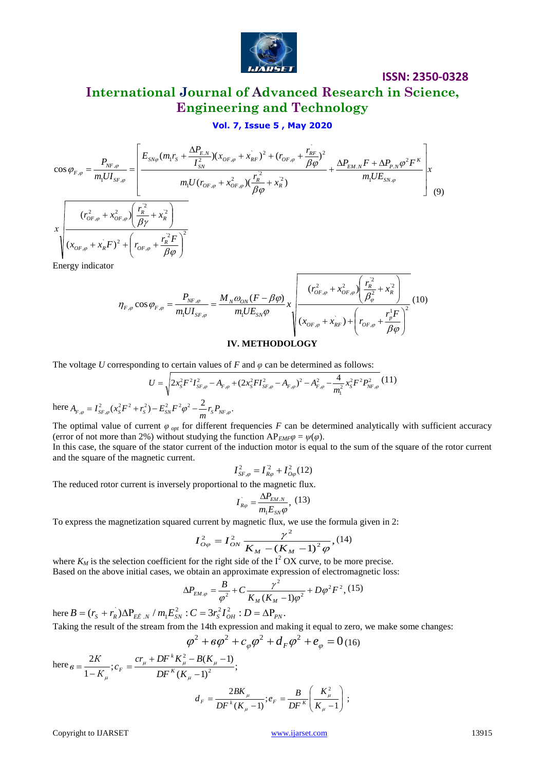

# **International Journal of Advanced Research in Science, Engineering and Technology**

$$
\mathbf{Vol. 7, Issue 5, May 2020}
$$
\n
$$
\cos \varphi_{F,\varphi} = \frac{P_{NF,\varphi}}{m_1 U I_{SF,\varphi}} = \left[ \frac{E_{SN\varphi}(m_1 r_S + \frac{\Delta P_{E,N}}{I_{SN}^2})(x_{OF,\varphi} + x_{RF}^2)^2 + (r_{OF,\varphi} + \frac{r_{RF}^2}{\beta \varphi})^2}{m_1 U (r_{OF,\varphi} + x_{OF,\varphi}^2)(\frac{r_R^2}{\beta \varphi} + x_R^2)} + \frac{\Delta P_{EM,N} F + \Delta P_{P,N} \varphi^2 F^K}{m_1 U E_{SN,\varphi}} \right] \times \frac{(r_{OF,\varphi}^2 + x_{OF,\varphi}^2) \left(\frac{r_R^2}{\beta \gamma} + x_R^2\right)}{x} \tag{9}
$$
\n
$$
\times \sqrt{\frac{(r_{OF,\varphi}^2 + x_{OF,\varphi}^2) \left(\frac{r_R^2}{\beta \gamma} + x_R^2\right)^2}{(x_{OF,\varphi} + x_R^2 F)^2 + \left(r_{OF,\varphi} + \frac{r_R^2 F}{\beta \varphi}\right)^2}}
$$
\nEnergy indicator

rgy

$$
\eta_{F,\varphi}\cos\varphi_{F,\varphi} = \frac{P_{NF,\varphi}}{m_1UI_{SF,\varphi}} = \frac{M_N\omega_{ON}(F-\beta\varphi)}{m_1UE_{SN}\varphi}x \sqrt{\frac{(r_{OF,\varphi}^2 + x_{OF,\varphi}^2)\left(\frac{r_R^2}{\beta_{\varphi}^2} + x_R^2\right)}{(x_{OF,\varphi} + x_{RF}^2) + \left(r_{OF,\varphi} + \frac{r_p^1F}{\beta\varphi}\right)^2}} (10)
$$

### **IV. METHODOLOGY**

The voltage *U* corresponding to certain values of *F* and *φ* can be determined as follows:

$$
U = \sqrt{2x_s^2 F^2 I_{SF,\varphi}^2 - A_{F,\varphi} + (2x_s^2 F I_{SF,\varphi}^2 - A_{F,\varphi})^2 - A_{F,\varphi}^2 - \frac{4}{m_1^2} x_s^2 F^2 P_{NF,\varphi}^2}
$$
(11)

here  $A_{F,\varphi} = I_{SF,\varphi}^2 (x_S^2 F^2 + r_S^2) - E_{SN}^2 F^2 \varphi^2 - \frac{2}{m} r_S P_{NF,\varphi}$ .

The optimal value of current  $\varphi$ <sub>opt</sub> for different frequencies *F* can be determined analytically with sufficient accuracy (error of not more than 2%) without studying the function  $AP_{EMF}\varphi = \psi(\varphi)$ .

In this case, the square of the stator current of the induction motor is equal to the sum of the square of the rotor current and the square of the magnetic current.

$$
I_{SF,\varphi}^2 = I_{R\varphi}^2 + I_{O\varphi}^2(12)
$$

The reduced rotor current is inversely proportional to the magnetic flux.

$$
I_{R\varphi}^{\dagger} = \frac{\Delta P_{EM.N}}{m_1 E_{SN} \varphi}, \ (13)
$$

To express the magnetization squared current by magnetic flux, we use the formula given in 2:

$$
I_{O\varphi}^{2} = I_{ON}^{2} \frac{\gamma^{2}}{K_{M} - (K_{M} - 1)^{2} \varphi}, (14)
$$

where  $K_M$  is the selection coefficient for the right side of the  $I^2$  OX curve, to be more precise. Based on the above initial cases, we obtain an approximate expression of electromagnetic loss:

$$
\Delta P_{EM.\varphi} = \frac{B}{\varphi^2} + C \frac{\gamma^2}{K_M (K_M - 1)\varphi^2} + D\varphi^2 F^2, (15)
$$

here  $B = (r_s + r_R) \Delta P_{E\tilde{E} \cup N} / m_1 E_{SN}^2 : C = 3r_s^2 I_{OH}^2 : D = \Delta P_{PN}$ .

Taking the result of the stream from the 14th expression and making it equal to zero, we make some changes:\n
$$
\frac{1}{2} \times \frac{1}{2} = \frac{1}{2} \times \frac{1}{2} = \frac{1}{2} \times \frac{1}{2} = \frac{1}{2} \times \frac{1}{2} = \frac{1}{2} \times \frac{1}{2} = \frac{1}{2} \times \frac{1}{2} = \frac{1}{2} \times \frac{1}{2} = \frac{1}{2} \times \frac{1}{2} = \frac{1}{2} \times \frac{1}{2} = \frac{1}{2} \times \frac{1}{2} = \frac{1}{2} \times \frac{1}{2} = \frac{1}{2} \times \frac{1}{2} = \frac{1}{2} \times \frac{1}{2} = \frac{1}{2} \times \frac{1}{2} = \frac{1}{2} \times \frac{1}{2} = \frac{1}{2} \times \frac{1}{2} = \frac{1}{2} \times \frac{1}{2} = \frac{1}{2} \times \frac{1}{2} = \frac{1}{2} \times \frac{1}{2} = \frac{1}{2} \times \frac{1}{2} = \frac{1}{2} \times \frac{1}{2} = \frac{1}{2} \times \frac{1}{2} = \frac{1}{2} \times \frac{1}{2} = \frac{1}{2} \times \frac{1}{2} = \frac{1}{2} \times \frac{1}{2} = \frac{1}{2} \times \frac{1}{2} = \frac{1}{2} \times \frac{1}{2} = \frac{1}{2} \times \frac{1}{2} = \frac{1}{2} \times \frac{1}{2} = \frac{1}{2} \times \frac{1}{2} = \frac{1}{2} \times \frac{1}{2} = \frac{1}{2} \times \frac{1}{2} = \frac{1}{2} \times \frac{1}{2} = \frac{1}{2} \times \frac{1}{2} = \frac{1}{2} \times \frac{1}{2} = \frac{1}{2} \times \frac{1}{2} = \frac{1}{2} \times \frac{1}{2} = \frac{1}{2} \times \frac{1}{2} = \frac{1}{2} \times \frac{1}{2} = \frac{1}{2} \times \frac{1}{2} = \frac{1}{2} \times \frac{1}{2} = \frac{1}{2} \times \frac{1}{2} = \frac{1}{2} \times \frac{1}{2} = \frac{1}{2
$$

$$
\varphi^2 + \epsilon \varphi^2 + c_{\varphi} \varphi^2 + d_F \varphi^2 + e_{\varphi} = 0
$$
 (16)

here  $g = \frac{2R}{\lambda - \sum_{k=1}^{K} G_k}$ ;  $C_F = \frac{C I_{\mu} + D I_{\mu} + D \left(\frac{R}{\mu} - 1\right)}{2}$ ;  $(K_u - 1)$  $(K_u - 1)$ ; 1 2 2 2  $\overline{a}$  $+DF^{k}K_{u}^{2}-B(K_{u} =$  $\overline{a}$  $=$  $_{\mu}$  $\mu$  - - - -  $\mu$  -  $\mu$  $DF^{K}(K)$  $cr_{\mu} + DF^k K_{\mu}^2 - B(K^2)$ *c К К*  $\theta = \frac{2R}{1 - V}$ ;  $c_F = \frac{C \mu + D}{D F}$ *k F*

$$
d_F = \frac{2BK_{\mu}}{DF^k(K_{\mu}-1)}; e_F = \frac{B}{DF^K}\left(\frac{K_{\mu}^2}{K_{\mu}-1}\right);
$$